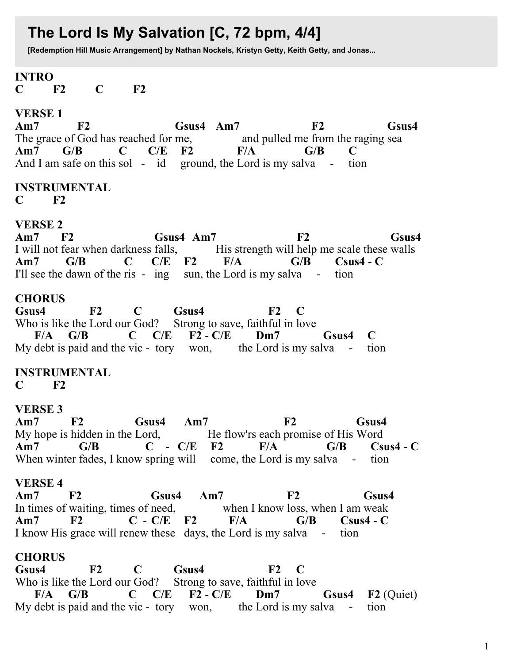# The Lord Is My Salvation [C, 72 bpm, 4/4]

[Redemption Hill Music Arrangement] by Nathan Nockels, Kristyn Getty, Keith Getty, and Jonas...

# **INTRO**

 $F2$  $\mathbf C$  $F2$  $\mathbf C$ 

## **VERSE 1**

 $Am7$  $F2$ Gsus4 Am7  $F2$ Gsus4 The grace of God has reached for me. and pulled me from the raging sea  $Am7$   $G/B$  $\bf C$  ${\bf C/E}$  $F2$  $F/A$  $G/B$  $\mathbf C$ And I am safe on this sol - id ground, the Lord is my salva - tion

# **INSTRUMENTAL**

 $\mathbf C$  $F2$ 

## **VERSE 2**

Gsus4 Am7  $Am7$  $F2$  $F2$ Gsus4 I will not fear when darkness falls, His strength will help me scale these walls  $C/E$  F2  $Am7$  $G/B$  $\mathbf C$  $F/A$  $G/B$  $C$ sus $4 - C$ I'll see the dawn of the ris - ing sun, the Lord is my salva tion

## **CHORUS**

 $\mathbf C$ Gsus4 Gsus4  $F2$  $\bf{F2}$  $\mathbf C$ Who is like the Lord our God? Strong to save, faithful in love  $F/A$   $G/B$  $C/E$  F2 -  $C/E$  $\mathbf C$  $Dm7$  $\mathbf C$ Gsus4 My debt is paid and the vic - tory won, the Lord is my salva tion

## **INSTRUMENTAL**

 $\mathbf C$  $F2$ 

## **VERSE 3**

 $Am7$  $F2$ Gsus4  $Am7$  $F2$ Gsus4 My hope is hidden in the Lord, He flow'rs each promise of His Word  $Am7$  $G/B$  $C - C/E$  F2  $F/A$  $G/B$  $C$ sus $4 - C$ When winter fades, I know spring will come, the Lord is my salva - tion

## **VERSE 4**

 $F2$  $Am7$  $F2$ Gsus4  $Am7$ Gsus4 In times of waiting, times of need, when I know loss, when I am weak  $C - C/E$  F2  $Am7$  $\bf{F2}$  $F/A$  $G/B$  Csus4 - C I know His grace will renew these days, the Lord is my salva - tion

## **CHORUS**

Gsus4  $F2$  $\mathbf C$ Gsus4  $F2$  $\mathbf C$ Who is like the Lord our God? Strong to save, faithful in love  $F/A$   $G/B$  $C$   $C/E$   $F2 - C/E$   $Dm7$ Gsus4 F<sub>2</sub> (Quiet) My debt is paid and the vic - tory won, the Lord is my salva tion